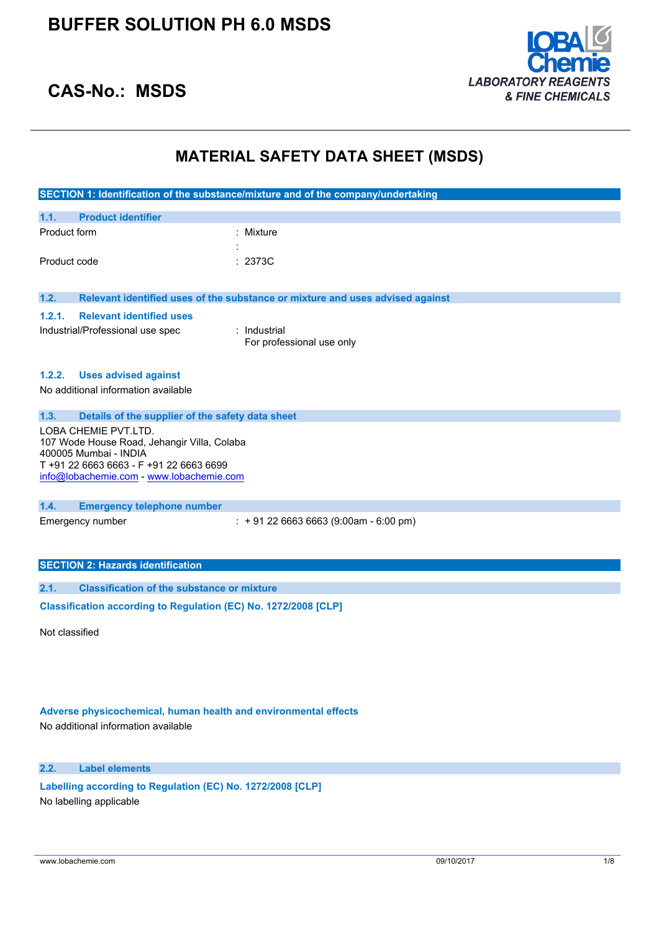

## **CAS-No.: MSDS**

## **MATERIAL SAFETY DATA SHEET (MSDS)**

|                                                                 |                                                                      | SECTION 1: Identification of the substance/mixture and of the company/undertaking |
|-----------------------------------------------------------------|----------------------------------------------------------------------|-----------------------------------------------------------------------------------|
| 1.1.                                                            | <b>Product identifier</b>                                            |                                                                                   |
| Product form                                                    |                                                                      | : Mixture                                                                         |
|                                                                 |                                                                      |                                                                                   |
| Product code                                                    |                                                                      | : 2373C                                                                           |
|                                                                 |                                                                      |                                                                                   |
| 1.2.                                                            |                                                                      | Relevant identified uses of the substance or mixture and uses advised against     |
| 1.2.1.                                                          | <b>Relevant identified uses</b>                                      |                                                                                   |
|                                                                 | Industrial/Professional use spec                                     | $:$ Industrial                                                                    |
|                                                                 |                                                                      | For professional use only                                                         |
|                                                                 |                                                                      |                                                                                   |
| 1.2.2.                                                          | <b>Uses advised against</b>                                          |                                                                                   |
|                                                                 | No additional information available                                  |                                                                                   |
|                                                                 |                                                                      |                                                                                   |
| 1.3.                                                            | Details of the supplier of the safety data sheet                     |                                                                                   |
|                                                                 | LOBA CHEMIE PVT.LTD.                                                 |                                                                                   |
|                                                                 | 107 Wode House Road, Jehangir Villa, Colaba<br>400005 Mumbai - INDIA |                                                                                   |
|                                                                 | T+91 22 6663 6663 - F+91 22 6663 6699                                |                                                                                   |
|                                                                 | info@lobachemie.com - www.lobachemie.com                             |                                                                                   |
|                                                                 |                                                                      |                                                                                   |
| 1.4.                                                            | <b>Emergency telephone number</b>                                    |                                                                                   |
|                                                                 | Emergency number                                                     | $\div$ + 91 22 6663 6663 (9:00am - 6:00 pm)                                       |
|                                                                 |                                                                      |                                                                                   |
|                                                                 |                                                                      |                                                                                   |
|                                                                 | <b>SECTION 2: Hazards identification</b>                             |                                                                                   |
| 2.1.                                                            | <b>Classification of the substance or mixture</b>                    |                                                                                   |
| Classification according to Regulation (EC) No. 1272/2008 [CLP] |                                                                      |                                                                                   |
|                                                                 |                                                                      |                                                                                   |
| Not classified                                                  |                                                                      |                                                                                   |

### **Adverse physicochemical, human health and environmental effects**

No additional information available

#### **2.2. Label elements**

**Labelling according to Regulation** (EC) **No. 1272/2008** [CLP] No labelling applicable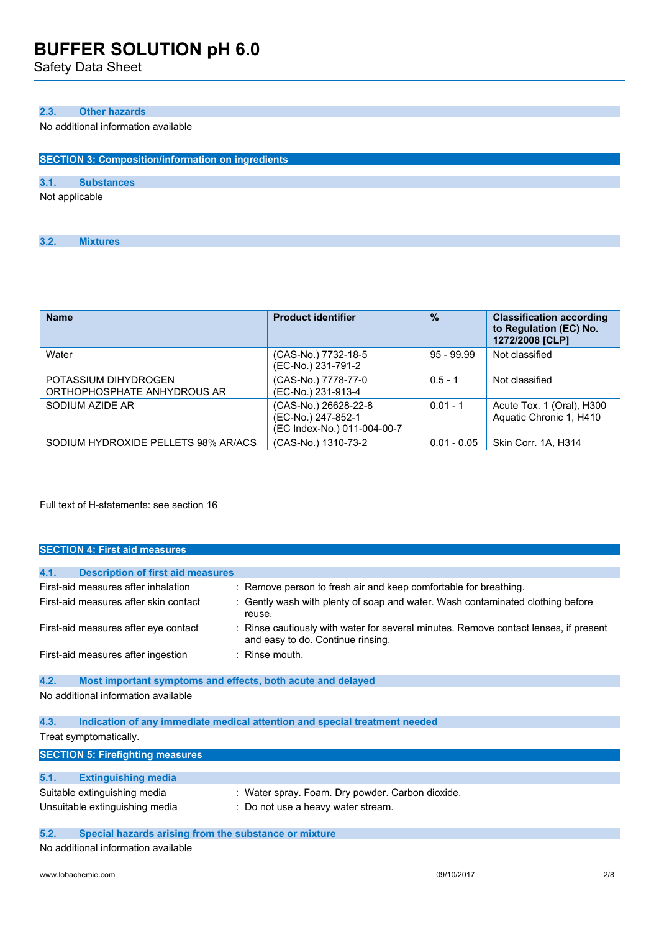Safety Data Sheet

#### **2.3. Other hazards**

No additional information available

|      | <b>SECTION 3: Composition/information on ingredients</b> |  |  |  |  |
|------|----------------------------------------------------------|--|--|--|--|
|      |                                                          |  |  |  |  |
| 3.1. | <b>Substances</b>                                        |  |  |  |  |
|      | Not applicable                                           |  |  |  |  |

| 3.2. | <b>Mixtures</b> |
|------|-----------------|
|      |                 |

| <b>Name</b>                                         | <b>Product identifier</b>                                                 | $\frac{9}{6}$ | <b>Classification according</b><br>to Regulation (EC) No.<br>1272/2008 [CLP] |
|-----------------------------------------------------|---------------------------------------------------------------------------|---------------|------------------------------------------------------------------------------|
| Water                                               | (CAS-No.) 7732-18-5<br>(EC-No.) 231-791-2                                 | $95 - 99.99$  | Not classified                                                               |
| POTASSIUM DIHYDROGEN<br>ORTHOPHOSPHATE ANHYDROUS AR | (CAS-No.) 7778-77-0<br>(EC-No.) 231-913-4                                 | $0.5 - 1$     | Not classified                                                               |
| SODIUM AZIDE AR                                     | (CAS-No.) 26628-22-8<br>(EC-No.) 247-852-1<br>(EC Index-No.) 011-004-00-7 | $0.01 - 1$    | Acute Tox. 1 (Oral), H300<br>Aquatic Chronic 1, H410                         |
| SODIUM HYDROXIDE PELLETS 98% AR/ACS                 | (CAS-No.) 1310-73-2                                                       | $0.01 - 0.05$ | Skin Corr. 1A, H314                                                          |

Full text of H-statements: see section 16

| <b>SECTION 4: First aid measures</b>             |                                                                                                                           |  |  |  |
|--------------------------------------------------|---------------------------------------------------------------------------------------------------------------------------|--|--|--|
|                                                  |                                                                                                                           |  |  |  |
| 4.1.<br><b>Description of first aid measures</b> |                                                                                                                           |  |  |  |
| First-aid measures after inhalation              | : Remove person to fresh air and keep comfortable for breathing.                                                          |  |  |  |
| First-aid measures after skin contact            | : Gently wash with plenty of soap and water. Wash contaminated clothing before<br>reuse.                                  |  |  |  |
| First-aid measures after eye contact             | : Rinse cautiously with water for several minutes. Remove contact lenses, if present<br>and easy to do. Continue rinsing. |  |  |  |
| First-aid measures after ingestion               | $:$ Rinse mouth.                                                                                                          |  |  |  |
| 4.2.                                             | Most important symptoms and effects, both acute and delayed                                                               |  |  |  |
| No additional information available              |                                                                                                                           |  |  |  |
| 4.3.                                             | Indication of any immediate medical attention and special treatment needed                                                |  |  |  |
| Treat symptomatically.                           |                                                                                                                           |  |  |  |
| <b>SECTION 5: Firefighting measures</b>          |                                                                                                                           |  |  |  |
| 5.1.<br><b>Extinguishing media</b>               |                                                                                                                           |  |  |  |
| Suitable extinguishing media                     | : Water spray. Foam. Dry powder. Carbon dioxide.                                                                          |  |  |  |

| Unsuitable extinguishing media | : Do not use a heavy water stream. |
|--------------------------------|------------------------------------|
|                                |                                    |

#### **5.2. Special hazards arising from the substance or mixture**

No additional information available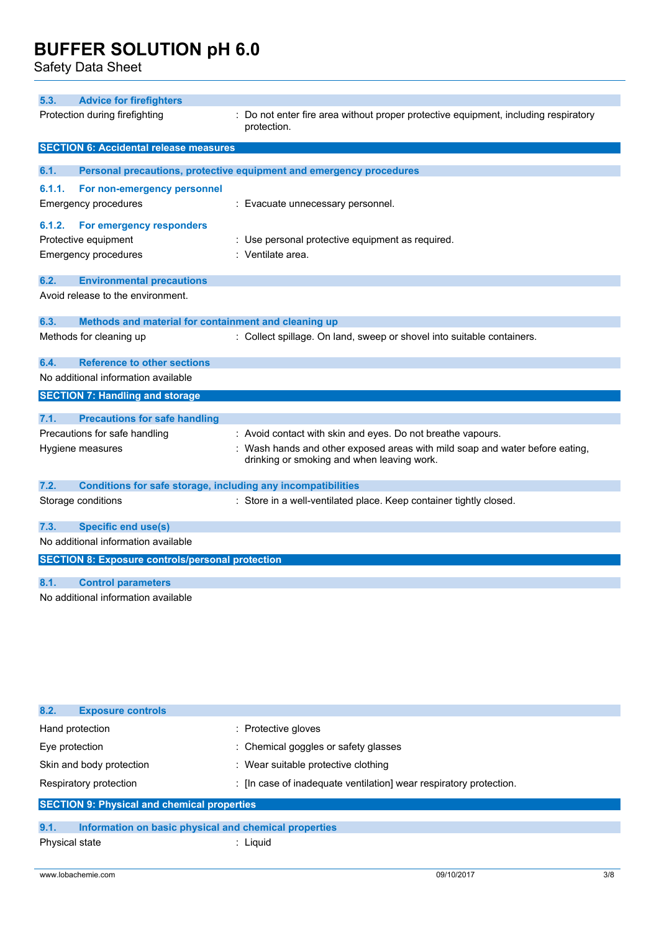Safety Data Sheet

| 5.3.                           | <b>Advice for firefighters</b>                                      |                                                                                                                            |
|--------------------------------|---------------------------------------------------------------------|----------------------------------------------------------------------------------------------------------------------------|
| Protection during firefighting |                                                                     | Do not enter fire area without proper protective equipment, including respiratory<br>protection.                           |
|                                | <b>SECTION 6: Accidental release measures</b>                       |                                                                                                                            |
| 6.1.                           |                                                                     |                                                                                                                            |
|                                |                                                                     | Personal precautions, protective equipment and emergency procedures                                                        |
| 6.1.1.                         | For non-emergency personnel                                         |                                                                                                                            |
|                                | <b>Emergency procedures</b>                                         | : Evacuate unnecessary personnel.                                                                                          |
| 6.1.2.                         | For emergency responders                                            |                                                                                                                            |
|                                | Protective equipment                                                | : Use personal protective equipment as required.                                                                           |
|                                | <b>Emergency procedures</b>                                         | : Ventilate area.                                                                                                          |
| 6.2.                           | <b>Environmental precautions</b>                                    |                                                                                                                            |
|                                | Avoid release to the environment.                                   |                                                                                                                            |
| 6.3.                           | Methods and material for containment and cleaning up                |                                                                                                                            |
|                                | Methods for cleaning up                                             | : Collect spillage. On land, sweep or shovel into suitable containers.                                                     |
| 6.4.                           | <b>Reference to other sections</b>                                  |                                                                                                                            |
|                                | No additional information available                                 |                                                                                                                            |
|                                | <b>SECTION 7: Handling and storage</b>                              |                                                                                                                            |
| 7.1.                           | <b>Precautions for safe handling</b>                                |                                                                                                                            |
|                                | Precautions for safe handling                                       | : Avoid contact with skin and eyes. Do not breathe vapours.                                                                |
|                                | Hygiene measures                                                    | : Wash hands and other exposed areas with mild soap and water before eating,<br>drinking or smoking and when leaving work. |
| 7.2.                           | <b>Conditions for safe storage, including any incompatibilities</b> |                                                                                                                            |
|                                | Storage conditions                                                  | : Store in a well-ventilated place. Keep container tightly closed.                                                         |
| 7.3.                           | <b>Specific end use(s)</b>                                          |                                                                                                                            |
|                                | No additional information available                                 |                                                                                                                            |
|                                | <b>SECTION 8: Exposure controls/personal protection</b>             |                                                                                                                            |
| 8.1.                           | <b>Control parameters</b>                                           |                                                                                                                            |
|                                | No additional information available                                 |                                                                                                                            |

| 8.2.<br><b>Exposure controls</b>                              |                                                                    |  |  |
|---------------------------------------------------------------|--------------------------------------------------------------------|--|--|
| Hand protection                                               | : Protective gloves                                                |  |  |
| Eye protection                                                | : Chemical goggles or safety glasses                               |  |  |
| Skin and body protection                                      | : Wear suitable protective clothing                                |  |  |
| Respiratory protection                                        | : [In case of inadequate ventilation] wear respiratory protection. |  |  |
| <b>SECTION 9: Physical and chemical properties</b>            |                                                                    |  |  |
|                                                               |                                                                    |  |  |
| 9.1.<br>Information on basic physical and chemical properties |                                                                    |  |  |

Physical state in the state of the state of the state of the state of the state of the state of the state of the state of the state of the state of the state of the state of the state of the state of the state of the state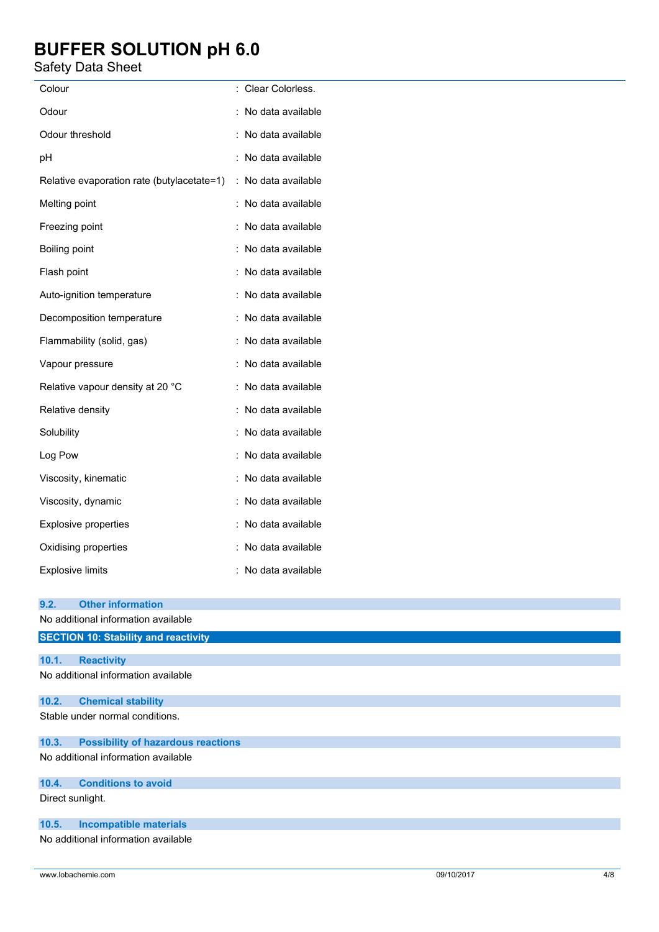### Safety Data Sheet

| Colour                                     | : Clear Colorless.  |
|--------------------------------------------|---------------------|
| Odour                                      | : No data available |
| Odour threshold                            | : No data available |
| pH                                         | : No data available |
| Relative evaporation rate (butylacetate=1) | : No data available |
| Melting point                              | : No data available |
| Freezing point                             | : No data available |
| Boiling point                              | : No data available |
| Flash point                                | : No data available |
| Auto-ignition temperature                  | : No data available |
| Decomposition temperature                  | : No data available |
| Flammability (solid, gas)                  | : No data available |
| Vapour pressure                            | : No data available |
| Relative vapour density at 20 °C           | : No data available |
| Relative density                           | : No data available |
| Solubility                                 | : No data available |
| Log Pow                                    | : No data available |
| Viscosity, kinematic                       | : No data available |
| Viscosity, dynamic                         | : No data available |
| Explosive properties                       | : No data available |
| Oxidising properties                       | : No data available |
| <b>Explosive limits</b>                    | : No data available |
|                                            |                     |

| 9.2.                                | <b>Other information</b>                    |  |
|-------------------------------------|---------------------------------------------|--|
|                                     | No additional information available         |  |
|                                     | <b>SECTION 10: Stability and reactivity</b> |  |
|                                     |                                             |  |
| 10.1.                               | <b>Reactivity</b>                           |  |
|                                     | No additional information available         |  |
| 10.2.                               | <b>Chemical stability</b>                   |  |
|                                     | Stable under normal conditions.             |  |
| 10.3.                               | <b>Possibility of hazardous reactions</b>   |  |
| No additional information available |                                             |  |
| 10.4.                               | <b>Conditions to avoid</b>                  |  |
| Direct sunlight.                    |                                             |  |
| 10.5.                               | <b>Incompatible materials</b>               |  |
|                                     | No additional information available         |  |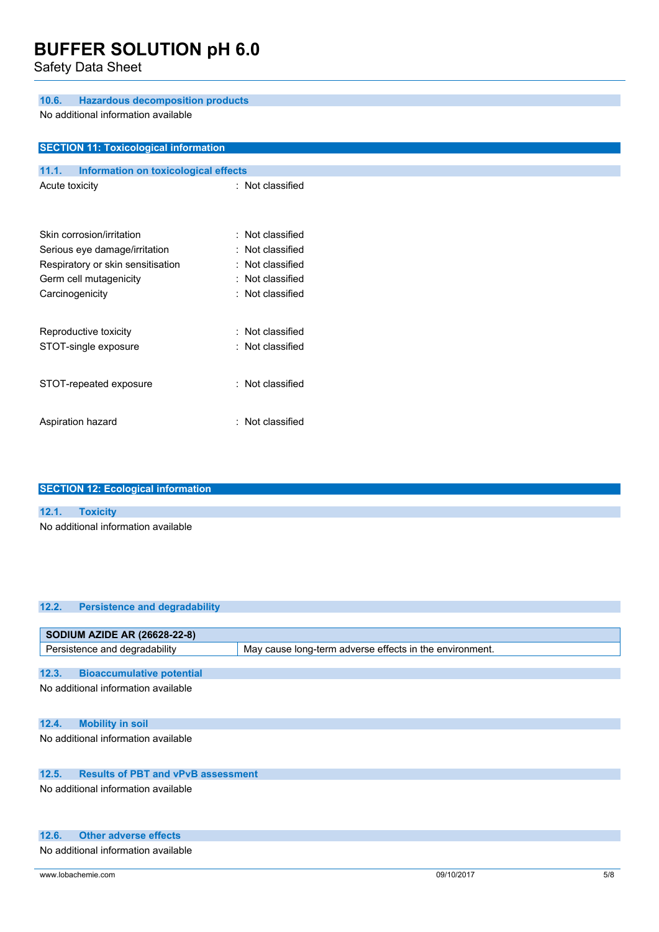Safety Data Sheet

**SECTION 11: Toxicological information**

#### **10.6. Hazardous decomposition products**

No additional information available

| <b>SECTION TT. TOXICOLOGICAL INTOITMATION</b> |                  |
|-----------------------------------------------|------------------|
|                                               |                  |
| 11.1.<br>Information on toxicological effects |                  |
| Acute toxicity                                | : Not classified |
|                                               |                  |
|                                               |                  |
| Skin corrosion/irritation                     | : Not classified |
| Serious eye damage/irritation                 | Not classified   |
| Respiratory or skin sensitisation             | Not classified   |
| Germ cell mutagenicity                        | Not classified   |
| Carcinogenicity                               | : Not classified |
|                                               |                  |
|                                               |                  |
| Reproductive toxicity                         | Not classified   |
| STOT-single exposure                          | Not classified   |
|                                               |                  |
|                                               |                  |
| STOT-repeated exposure                        | : Not classified |
|                                               |                  |
| Aspiration hazard                             | : Not classified |
|                                               |                  |

| <b>SECTION 12: Ecological information</b> |                                     |  |  |
|-------------------------------------------|-------------------------------------|--|--|
|                                           |                                     |  |  |
| 12.1.                                     | <b>Toxicity</b>                     |  |  |
|                                           | No additional information available |  |  |
|                                           |                                     |  |  |

#### **12.2. Persistence and degradability**

| <b>SODIUM AZIDE AR (26628-22-8)</b>                |                                                         |  |  |
|----------------------------------------------------|---------------------------------------------------------|--|--|
| Persistence and degradability                      | May cause long-term adverse effects in the environment. |  |  |
|                                                    |                                                         |  |  |
| 12.3.<br><b>Bioaccumulative potential</b>          |                                                         |  |  |
| No additional information available                |                                                         |  |  |
|                                                    |                                                         |  |  |
|                                                    |                                                         |  |  |
| 12.4.<br><b>Mobility in soil</b>                   |                                                         |  |  |
| No additional information available                |                                                         |  |  |
|                                                    |                                                         |  |  |
|                                                    |                                                         |  |  |
| 12.5.<br><b>Results of PBT and vPvB assessment</b> |                                                         |  |  |

No additional information available

#### **12.6. Other adverse effects**

No additional information available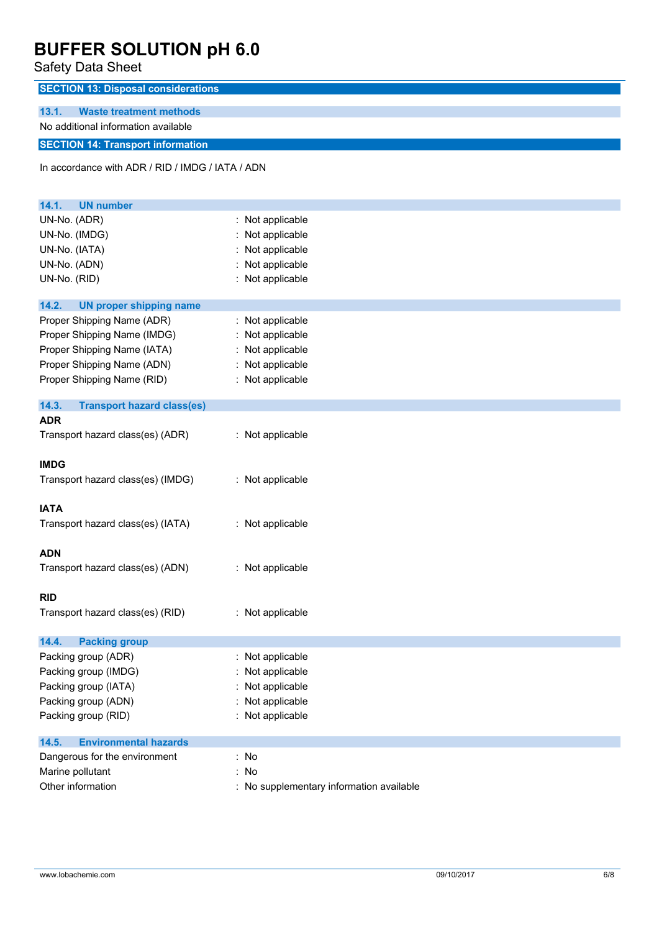### Safety Data Sheet

| <b>SECTION 13: Disposal considerations</b> |                         |  |
|--------------------------------------------|-------------------------|--|
|                                            |                         |  |
| 13.1.                                      | Waste treatment methods |  |
| No additional information available        |                         |  |
| <b>SECTION 14: Transport information</b>   |                         |  |
|                                            |                         |  |

In accordance with ADR / RID / IMDG / IATA / ADN

| 14.1.<br><b>UN number</b>                  |                                          |
|--------------------------------------------|------------------------------------------|
| UN-No. (ADR)                               | : Not applicable                         |
| UN-No. (IMDG)                              | Not applicable                           |
| UN-No. (IATA)                              | Not applicable                           |
| UN-No. (ADN)                               | Not applicable                           |
| UN-No. (RID)                               | : Not applicable                         |
| 14.2.<br><b>UN proper shipping name</b>    |                                          |
| Proper Shipping Name (ADR)                 | : Not applicable                         |
| Proper Shipping Name (IMDG)                | : Not applicable                         |
| Proper Shipping Name (IATA)                | Not applicable                           |
| Proper Shipping Name (ADN)                 | Not applicable                           |
| Proper Shipping Name (RID)                 | : Not applicable                         |
| 14.3.<br><b>Transport hazard class(es)</b> |                                          |
| <b>ADR</b>                                 |                                          |
| Transport hazard class(es) (ADR)           | : Not applicable                         |
| <b>IMDG</b>                                |                                          |
| Transport hazard class(es) (IMDG)          | : Not applicable                         |
| <b>IATA</b>                                |                                          |
| Transport hazard class(es) (IATA)          | : Not applicable                         |
| <b>ADN</b>                                 |                                          |
| Transport hazard class(es) (ADN)           | : Not applicable                         |
| <b>RID</b>                                 |                                          |
| Transport hazard class(es) (RID)           | : Not applicable                         |
| <b>Packing group</b><br>14.4.              |                                          |
| Packing group (ADR)                        | : Not applicable                         |
| Packing group (IMDG)                       | Not applicable                           |
| Packing group (IATA)                       | Not applicable                           |
| Packing group (ADN)                        | Not applicable                           |
| Packing group (RID)                        | Not applicable                           |
| <b>Environmental hazards</b><br>14.5.      |                                          |
| Dangerous for the environment              | : No                                     |
| Marine pollutant                           | : No                                     |
| Other information                          | : No supplementary information available |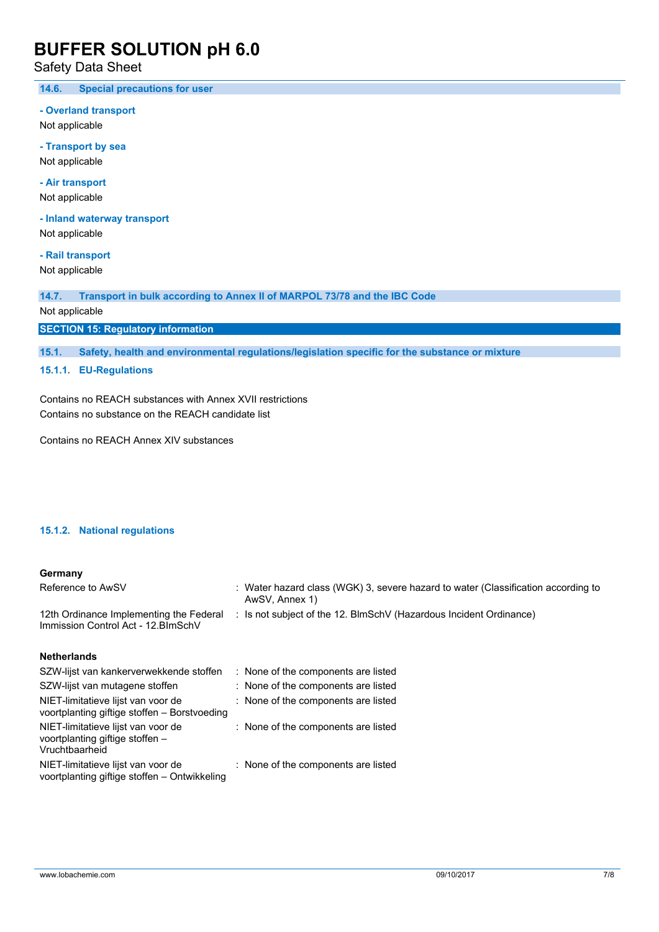### Safety Data Sheet

**14.6. Special precautions for user**

**- Overland transport**

Not applicable

**- Transport by sea** Not applicable

**- Air transport**

Not applicable

**- Inland waterway transport** Not applicable

**- Rail transport** Not applicable

**14.7. Transport in bulk according to Annex II of MARPOL 73/78 and the IBC Code** Not applicable

**SECTION 15: Regulatory information**

**15.1. Safety, health and environmental regulations/legislation specific for the substance or mixture**

#### **15.1.1. EU-Regulations**

Contains no REACH substances with Annex XVII restrictions Contains no substance on the REACH candidate list

Contains no REACH Annex XIV substances

#### **15.1.2. National regulations**

#### **Germany**

| Reference to AwSV                                                                  | : Water hazard class (WGK) 3, severe hazard to water (Classification according to<br>AwSV, Annex 1) |
|------------------------------------------------------------------------------------|-----------------------------------------------------------------------------------------------------|
| 12th Ordinance Implementing the Federal<br>Immission Control Act - 12. BlmSchV     | : Is not subject of the 12. BlmSchV (Hazardous Incident Ordinance)                                  |
| <b>Netherlands</b>                                                                 |                                                                                                     |
| SZW-lijst van kankerverwekkende stoffen                                            | : None of the components are listed                                                                 |
| SZW-lijst van mutagene stoffen                                                     | : None of the components are listed                                                                 |
| NIET-limitatieve lijst van voor de<br>voortplanting giftige stoffen - Borstvoeding | : None of the components are listed                                                                 |

| <u>voortplanting ginge storien – borstvoeging</u> |                                     |
|---------------------------------------------------|-------------------------------------|
| NIET-limitatieve lijst van voor de                | : None of the components are listed |
| voortplanting giftige stoffen -                   |                                     |
| Vruchtbaarheid                                    |                                     |
| NIET-limitatieve lijst van voor de                | : None of the components are listed |

voortplanting giftige stoffen – Ontwikkeling